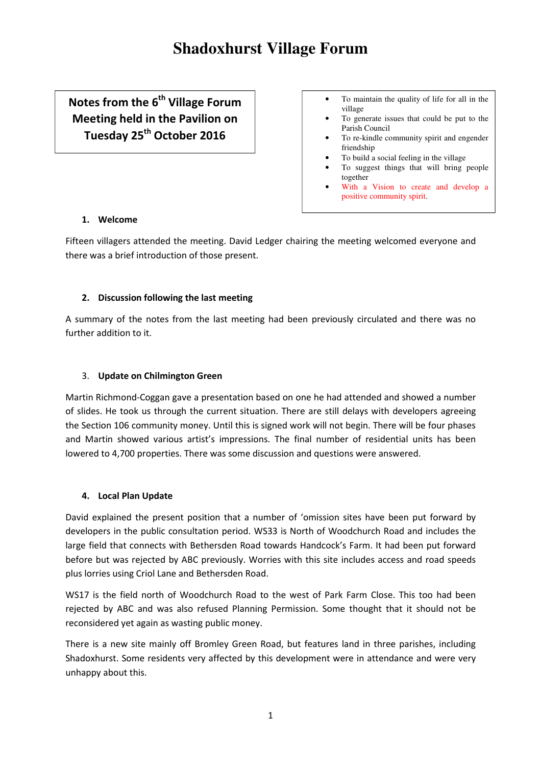# **Shadoxhurst Village Forum**

Notes from the 6<sup>th</sup> Village Forum Meeting held in the Pavilion on Tuesday 25<sup>th</sup> October 2016

- To maintain the quality of life for all in the village
- To generate issues that could be put to the Parish Council
- To re-kindle community spirit and engender friendship
- To build a social feeling in the village
- To suggest things that will bring people together
- With a Vision to create and develop a positive community spirit.

### 1. Welcome

Fifteen villagers attended the meeting. David Ledger chairing the meeting welcomed everyone and there was a brief introduction of those present.

# 2. Discussion following the last meeting

A summary of the notes from the last meeting had been previously circulated and there was no further addition to it.

### 3. Update on Chilmington Green

Martin Richmond-Coggan gave a presentation based on one he had attended and showed a number of slides. He took us through the current situation. There are still delays with developers agreeing the Section 106 community money. Until this is signed work will not begin. There will be four phases and Martin showed various artist's impressions. The final number of residential units has been lowered to 4,700 properties. There was some discussion and questions were answered.

#### 4. Local Plan Update

David explained the present position that a number of 'omission sites have been put forward by developers in the public consultation period. WS33 is North of Woodchurch Road and includes the large field that connects with Bethersden Road towards Handcock's Farm. It had been put forward before but was rejected by ABC previously. Worries with this site includes access and road speeds plus lorries using Criol Lane and Bethersden Road.

WS17 is the field north of Woodchurch Road to the west of Park Farm Close. This too had been rejected by ABC and was also refused Planning Permission. Some thought that it should not be reconsidered yet again as wasting public money.

There is a new site mainly off Bromley Green Road, but features land in three parishes, including Shadoxhurst. Some residents very affected by this development were in attendance and were very unhappy about this.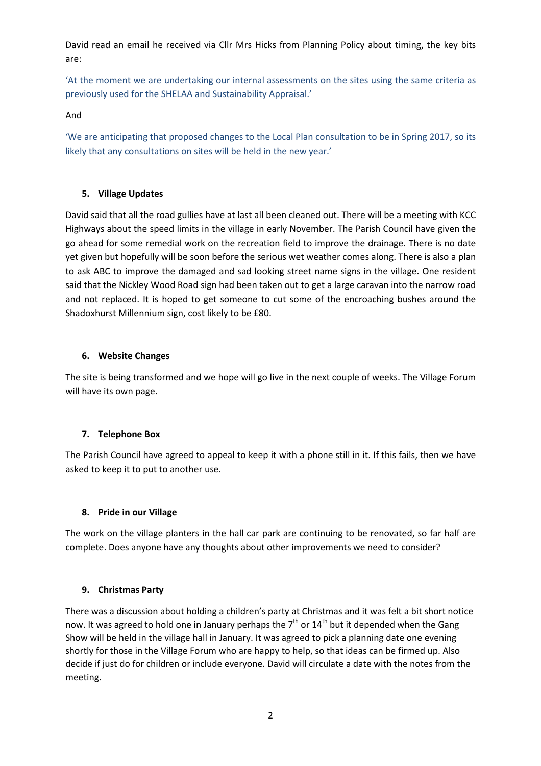David read an email he received via Cllr Mrs Hicks from Planning Policy about timing, the key bits are:

'At the moment we are undertaking our internal assessments on the sites using the same criteria as previously used for the SHELAA and Sustainability Appraisal.'

And

'We are anticipating that proposed changes to the Local Plan consultation to be in Spring 2017, so its likely that any consultations on sites will be held in the new year.'

# 5. Village Updates

David said that all the road gullies have at last all been cleaned out. There will be a meeting with KCC Highways about the speed limits in the village in early November. The Parish Council have given the go ahead for some remedial work on the recreation field to improve the drainage. There is no date yet given but hopefully will be soon before the serious wet weather comes along. There is also a plan to ask ABC to improve the damaged and sad looking street name signs in the village. One resident said that the Nickley Wood Road sign had been taken out to get a large caravan into the narrow road and not replaced. It is hoped to get someone to cut some of the encroaching bushes around the Shadoxhurst Millennium sign, cost likely to be £80.

# 6. Website Changes

The site is being transformed and we hope will go live in the next couple of weeks. The Village Forum will have its own page.

# 7. Telephone Box

The Parish Council have agreed to appeal to keep it with a phone still in it. If this fails, then we have asked to keep it to put to another use.

# 8. Pride in our Village

The work on the village planters in the hall car park are continuing to be renovated, so far half are complete. Does anyone have any thoughts about other improvements we need to consider?

# 9. Christmas Party

There was a discussion about holding a children's party at Christmas and it was felt a bit short notice now. It was agreed to hold one in January perhaps the  $7<sup>th</sup>$  or  $14<sup>th</sup>$  but it depended when the Gang Show will be held in the village hall in January. It was agreed to pick a planning date one evening shortly for those in the Village Forum who are happy to help, so that ideas can be firmed up. Also decide if just do for children or include everyone. David will circulate a date with the notes from the meeting.